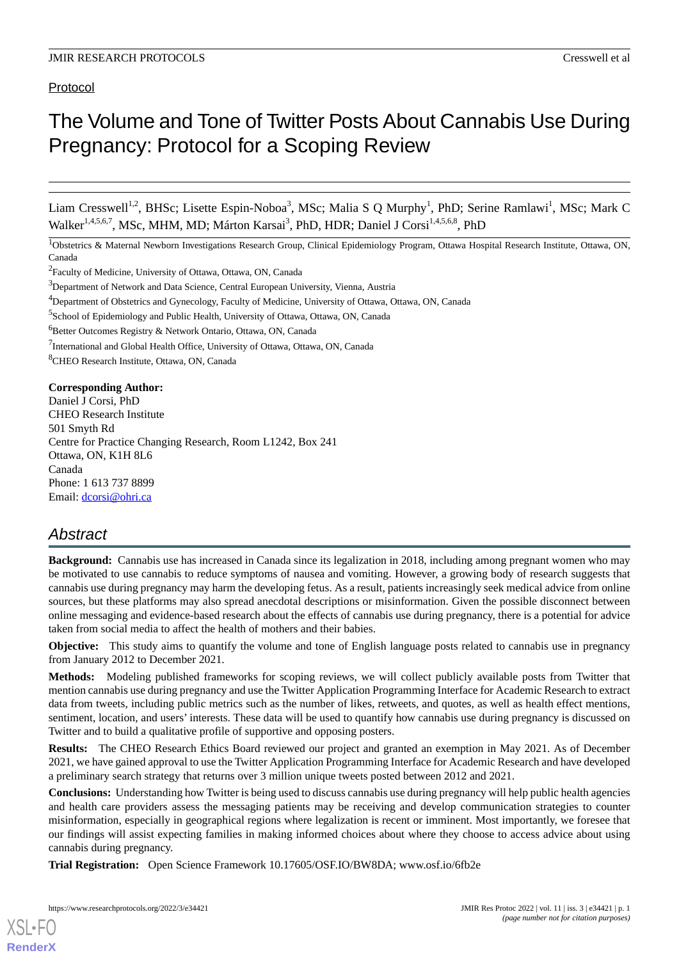# Protocol

# The Volume and Tone of Twitter Posts About Cannabis Use During Pregnancy: Protocol for a Scoping Review

Liam Cresswell<sup>1,2</sup>, BHSc; Lisette Espin-Noboa<sup>3</sup>, MSc; Malia S Q Murphy<sup>1</sup>, PhD; Serine Ramlawi<sup>1</sup>, MSc; Mark C Walker<sup>1,4,5,6,7</sup>, MSc, MHM, MD; Márton Karsai<sup>3</sup>, PhD, HDR; Daniel J Corsi<sup>1,4,5,6,8</sup>, PhD

<sup>1</sup>Obstetrics & Maternal Newborn Investigations Research Group, Clinical Epidemiology Program, Ottawa Hospital Research Institute, Ottawa, ON, Canada

<sup>2</sup> Faculty of Medicine, University of Ottawa, Ottawa, ON, Canada

<sup>5</sup>School of Epidemiology and Public Health, University of Ottawa, Ottawa, ON, Canada

<sup>6</sup>Better Outcomes Registry & Network Ontario, Ottawa, ON, Canada

<sup>7</sup>International and Global Health Office, University of Ottawa, Ottawa, ON, Canada

<sup>8</sup>CHEO Research Institute, Ottawa, ON, Canada

#### **Corresponding Author:**

Daniel J Corsi, PhD CHEO Research Institute 501 Smyth Rd Centre for Practice Changing Research, Room L1242, Box 241 Ottawa, ON, K1H 8L6 Canada Phone: 1 613 737 8899 Email: [dcorsi@ohri.ca](mailto:dcorsi@ohri.ca)

# *Abstract*

**Background:** Cannabis use has increased in Canada since its legalization in 2018, including among pregnant women who may be motivated to use cannabis to reduce symptoms of nausea and vomiting. However, a growing body of research suggests that cannabis use during pregnancy may harm the developing fetus. As a result, patients increasingly seek medical advice from online sources, but these platforms may also spread anecdotal descriptions or misinformation. Given the possible disconnect between online messaging and evidence-based research about the effects of cannabis use during pregnancy, there is a potential for advice taken from social media to affect the health of mothers and their babies.

**Objective:** This study aims to quantify the volume and tone of English language posts related to cannabis use in pregnancy from January 2012 to December 2021.

**Methods:** Modeling published frameworks for scoping reviews, we will collect publicly available posts from Twitter that mention cannabis use during pregnancy and use the Twitter Application Programming Interface for Academic Research to extract data from tweets, including public metrics such as the number of likes, retweets, and quotes, as well as health effect mentions, sentiment, location, and users' interests. These data will be used to quantify how cannabis use during pregnancy is discussed on Twitter and to build a qualitative profile of supportive and opposing posters.

**Results:** The CHEO Research Ethics Board reviewed our project and granted an exemption in May 2021. As of December 2021, we have gained approval to use the Twitter Application Programming Interface for Academic Research and have developed a preliminary search strategy that returns over 3 million unique tweets posted between 2012 and 2021.

**Conclusions:** Understanding how Twitter is being used to discuss cannabis use during pregnancy will help public health agencies and health care providers assess the messaging patients may be receiving and develop communication strategies to counter misinformation, especially in geographical regions where legalization is recent or imminent. Most importantly, we foresee that our findings will assist expecting families in making informed choices about where they choose to access advice about using cannabis during pregnancy.

**Trial Registration:** Open Science Framework 10.17605/OSF.IO/BW8DA; www.osf.io/6fb2e

<sup>&</sup>lt;sup>3</sup>Department of Network and Data Science, Central European University, Vienna, Austria

<sup>4</sup>Department of Obstetrics and Gynecology, Faculty of Medicine, University of Ottawa, Ottawa, ON, Canada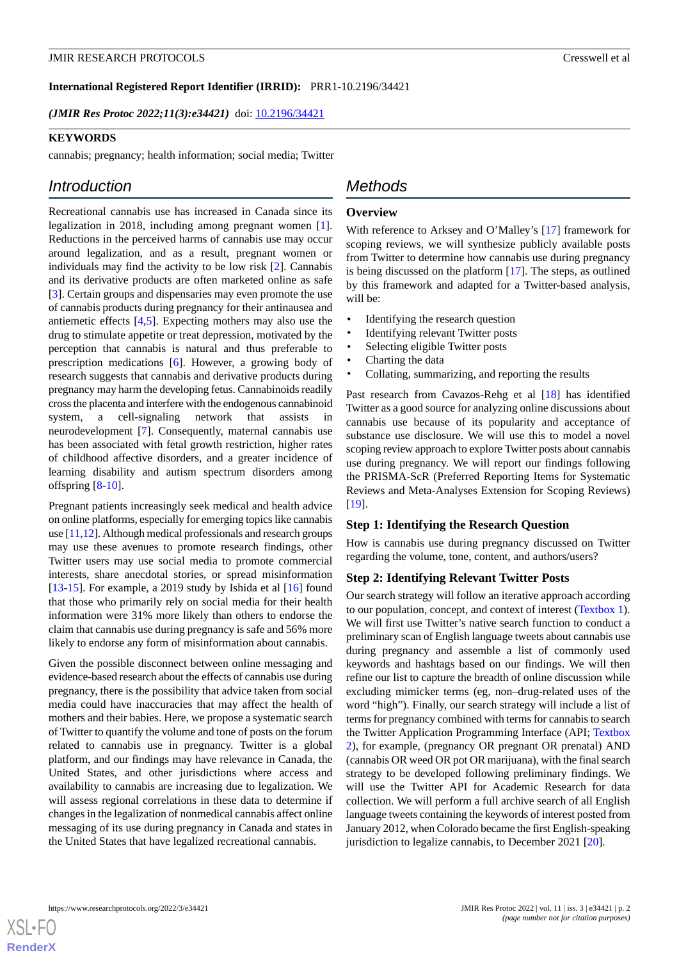#### **International Registered Report Identifier (IRRID):** PRR1-10.2196/34421

*(JMIR Res Protoc 2022;11(3):e34421)* doi: [10.2196/34421](http://dx.doi.org/10.2196/34421)

#### **KEYWORDS**

cannabis; pregnancy; health information; social media; Twitter

# *Introduction*

Recreational cannabis use has increased in Canada since its legalization in 2018, including among pregnant women [[1\]](#page-7-0). Reductions in the perceived harms of cannabis use may occur around legalization, and as a result, pregnant women or individuals may find the activity to be low risk [\[2](#page-7-1)]. Cannabis and its derivative products are often marketed online as safe [[3\]](#page-7-2). Certain groups and dispensaries may even promote the use of cannabis products during pregnancy for their antinausea and antiemetic effects [[4](#page-7-3)[,5](#page-7-4)]. Expecting mothers may also use the drug to stimulate appetite or treat depression, motivated by the perception that cannabis is natural and thus preferable to prescription medications [[6\]](#page-7-5). However, a growing body of research suggests that cannabis and derivative products during pregnancy may harm the developing fetus. Cannabinoids readily cross the placenta and interfere with the endogenous cannabinoid system, a cell-signaling network that assists in neurodevelopment [\[7](#page-7-6)]. Consequently, maternal cannabis use has been associated with fetal growth restriction, higher rates of childhood affective disorders, and a greater incidence of learning disability and autism spectrum disorders among offspring  $[8-10]$  $[8-10]$  $[8-10]$  $[8-10]$ .

Pregnant patients increasingly seek medical and health advice on online platforms, especially for emerging topics like cannabis use [[11](#page-7-9),[12](#page-7-10)]. Although medical professionals and research groups may use these avenues to promote research findings, other Twitter users may use social media to promote commercial interests, share anecdotal stories, or spread misinformation [[13](#page-8-0)[-15](#page-8-1)]. For example, a 2019 study by Ishida et al  $[16]$  $[16]$  found that those who primarily rely on social media for their health information were 31% more likely than others to endorse the claim that cannabis use during pregnancy is safe and 56% more likely to endorse any form of misinformation about cannabis.

Given the possible disconnect between online messaging and evidence-based research about the effects of cannabis use during pregnancy, there is the possibility that advice taken from social media could have inaccuracies that may affect the health of mothers and their babies. Here, we propose a systematic search of Twitter to quantify the volume and tone of posts on the forum related to cannabis use in pregnancy. Twitter is a global platform, and our findings may have relevance in Canada, the United States, and other jurisdictions where access and availability to cannabis are increasing due to legalization. We will assess regional correlations in these data to determine if changes in the legalization of nonmedical cannabis affect online messaging of its use during pregnancy in Canada and states in the United States that have legalized recreational cannabis.

# *Methods*

#### **Overview**

With reference to Arksey and O'Malley's [\[17](#page-8-3)] framework for scoping reviews, we will synthesize publicly available posts from Twitter to determine how cannabis use during pregnancy is being discussed on the platform [[17\]](#page-8-3). The steps, as outlined by this framework and adapted for a Twitter-based analysis, will be:

- Identifying the research question
- Identifying relevant Twitter posts
- Selecting eligible Twitter posts
- Charting the data
- Collating, summarizing, and reporting the results

Past research from Cavazos-Rehg et al [\[18](#page-8-4)] has identified Twitter as a good source for analyzing online discussions about cannabis use because of its popularity and acceptance of substance use disclosure. We will use this to model a novel scoping review approach to explore Twitter posts about cannabis use during pregnancy. We will report our findings following the PRISMA-ScR (Preferred Reporting Items for Systematic Reviews and Meta-Analyses Extension for Scoping Reviews) [[19\]](#page-8-5).

#### **Step 1: Identifying the Research Question**

How is cannabis use during pregnancy discussed on Twitter regarding the volume, tone, content, and authors/users?

#### **Step 2: Identifying Relevant Twitter Posts**

Our search strategy will follow an iterative approach according to our population, concept, and context of interest [\(Textbox 1\)](#page-2-0). We will first use Twitter's native search function to conduct a preliminary scan of English language tweets about cannabis use during pregnancy and assemble a list of commonly used keywords and hashtags based on our findings. We will then refine our list to capture the breadth of online discussion while excluding mimicker terms (eg, non–drug-related uses of the word "high"). Finally, our search strategy will include a list of terms for pregnancy combined with terms for cannabis to search the Twitter Application Programming Interface (API; [Textbox](#page-2-1) [2\)](#page-2-1), for example, (pregnancy OR pregnant OR prenatal) AND (cannabis OR weed OR pot OR marijuana), with the final search strategy to be developed following preliminary findings. We will use the Twitter API for Academic Research for data collection. We will perform a full archive search of all English language tweets containing the keywords of interest posted from January 2012, when Colorado became the first English-speaking jurisdiction to legalize cannabis, to December 2021 [\[20](#page-8-6)].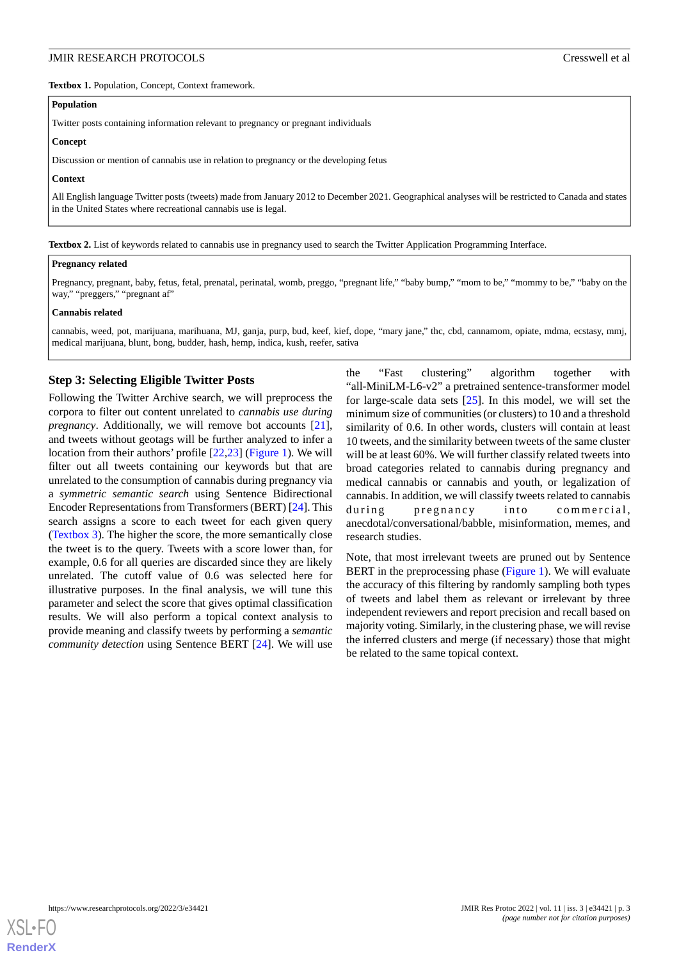<span id="page-2-0"></span>**Textbox 1.** Population, Concept, Context framework.

#### **Population**

Twitter posts containing information relevant to pregnancy or pregnant individuals

#### **Concept**

Discussion or mention of cannabis use in relation to pregnancy or the developing fetus

#### **Context**

<span id="page-2-1"></span>All English language Twitter posts (tweets) made from January 2012 to December 2021. Geographical analyses will be restricted to Canada and states in the United States where recreational cannabis use is legal.

**Textbox 2.** List of keywords related to cannabis use in pregnancy used to search the Twitter Application Programming Interface.

#### **Pregnancy related**

Pregnancy, pregnant, baby, fetus, fetal, prenatal, perinatal, womb, preggo, "pregnant life," "baby bump," "mom to be," "mommy to be," "baby on the way," "preggers," "pregnant af"

#### **Cannabis related**

cannabis, weed, pot, marijuana, marihuana, MJ, ganja, purp, bud, keef, kief, dope, "mary jane," thc, cbd, cannamom, opiate, mdma, ecstasy, mmj, medical marijuana, blunt, bong, budder, hash, hemp, indica, kush, reefer, sativa

# **Step 3: Selecting Eligible Twitter Posts**

Following the Twitter Archive search, we will preprocess the corpora to filter out content unrelated to *cannabis use during pregnancy*. Additionally, we will remove bot accounts [[21\]](#page-8-7), and tweets without geotags will be further analyzed to infer a location from their authors' profile [[22](#page-8-8)[,23](#page-8-9)] [\(Figure 1](#page-3-0)). We will filter out all tweets containing our keywords but that are unrelated to the consumption of cannabis during pregnancy via a *symmetric semantic search* using Sentence Bidirectional Encoder Representations from Transformers (BERT) [\[24](#page-8-10)]. This search assigns a score to each tweet for each given query ([Textbox 3\)](#page-3-1). The higher the score, the more semantically close the tweet is to the query. Tweets with a score lower than, for example, 0.6 for all queries are discarded since they are likely unrelated. The cutoff value of 0.6 was selected here for illustrative purposes. In the final analysis, we will tune this parameter and select the score that gives optimal classification results. We will also perform a topical context analysis to provide meaning and classify tweets by performing a *semantic community detection* using Sentence BERT [[24\]](#page-8-10). We will use

the "Fast clustering" algorithm together with "all-MiniLM-L6-v2" a pretrained sentence-transformer model for large-scale data sets [[25\]](#page-8-11). In this model, we will set the minimum size of communities (or clusters) to 10 and a threshold similarity of 0.6. In other words, clusters will contain at least 10 tweets, and the similarity between tweets of the same cluster will be at least 60%. We will further classify related tweets into broad categories related to cannabis during pregnancy and medical cannabis or cannabis and youth, or legalization of cannabis. In addition, we will classify tweets related to cannabis during pregnancy into commercial, anecdotal/conversational/babble, misinformation, memes, and research studies.

Note, that most irrelevant tweets are pruned out by Sentence BERT in the preprocessing phase ([Figure 1](#page-3-0)). We will evaluate the accuracy of this filtering by randomly sampling both types of tweets and label them as relevant or irrelevant by three independent reviewers and report precision and recall based on majority voting. Similarly, in the clustering phase, we will revise the inferred clusters and merge (if necessary) those that might be related to the same topical context.

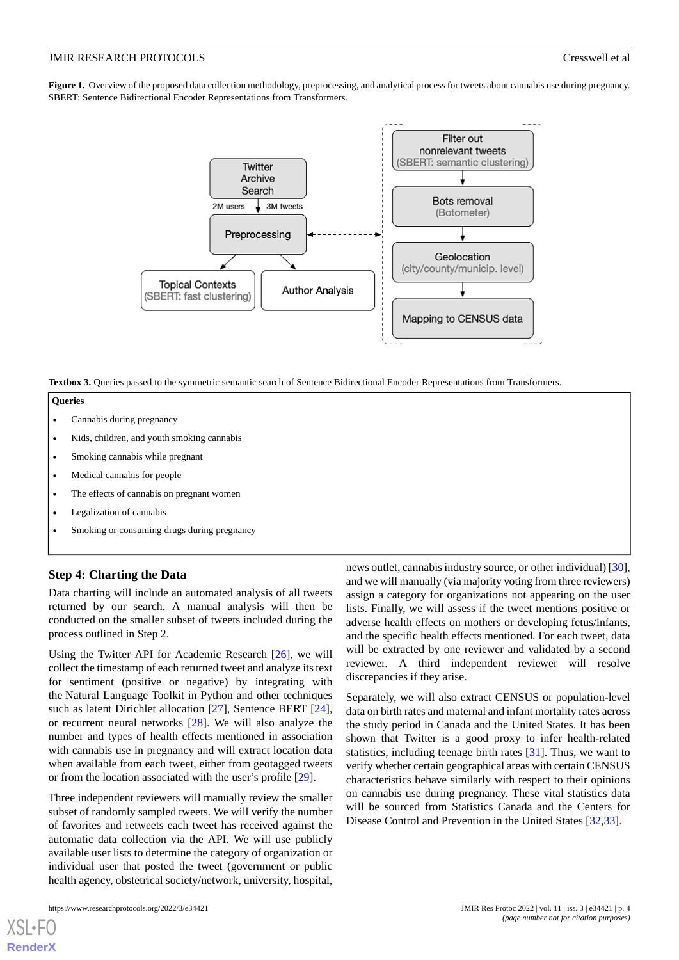<span id="page-3-0"></span>**Figure 1.** Overview of the proposed data collection methodology, preprocessing, and analytical process for tweets about cannabis use during pregnancy. SBERT: Sentence Bidirectional Encoder Representations from Transformers.



<span id="page-3-1"></span>**Textbox 3.** Queries passed to the symmetric semantic search of Sentence Bidirectional Encoder Representations from Transformers.

#### **Queries**

- Cannabis during pregnancy
- Kids, children, and youth smoking cannabis
- Smoking cannabis while pregnant
- Medical cannabis for people
- The effects of cannabis on pregnant women
- Legalization of cannabis
- Smoking or consuming drugs during pregnancy

## **Step 4: Charting the Data**

Data charting will include an automated analysis of all tweets returned by our search. A manual analysis will then be conducted on the smaller subset of tweets included during the process outlined in Step 2.

Using the Twitter API for Academic Research [\[26](#page-8-12)], we will collect the timestamp of each returned tweet and analyze its text for sentiment (positive or negative) by integrating with the Natural Language Toolkit in Python and other techniques such as latent Dirichlet allocation [[27\]](#page-8-13), Sentence BERT [[24\]](#page-8-10), or recurrent neural networks [\[28](#page-8-14)]. We will also analyze the number and types of health effects mentioned in association with cannabis use in pregnancy and will extract location data when available from each tweet, either from geotagged tweets or from the location associated with the user's profile [[29\]](#page-8-15).

Three independent reviewers will manually review the smaller subset of randomly sampled tweets. We will verify the number of favorites and retweets each tweet has received against the automatic data collection via the API. We will use publicly available user lists to determine the category of organization or individual user that posted the tweet (government or public health agency, obstetrical society/network, university, hospital,

news outlet, cannabis industry source, or other individual) [[30\]](#page-8-16), and we will manually (via majority voting from three reviewers) assign a category for organizations not appearing on the user lists. Finally, we will assess if the tweet mentions positive or adverse health effects on mothers or developing fetus/infants, and the specific health effects mentioned. For each tweet, data will be extracted by one reviewer and validated by a second reviewer. A third independent reviewer will resolve discrepancies if they arise.

Separately, we will also extract CENSUS or population-level data on birth rates and maternal and infant mortality rates across the study period in Canada and the United States. It has been shown that Twitter is a good proxy to infer health-related statistics, including teenage birth rates [\[31](#page-8-17)]. Thus, we want to verify whether certain geographical areas with certain CENSUS characteristics behave similarly with respect to their opinions on cannabis use during pregnancy. These vital statistics data will be sourced from Statistics Canada and the Centers for Disease Control and Prevention in the United States [\[32](#page-8-18),[33\]](#page-8-19).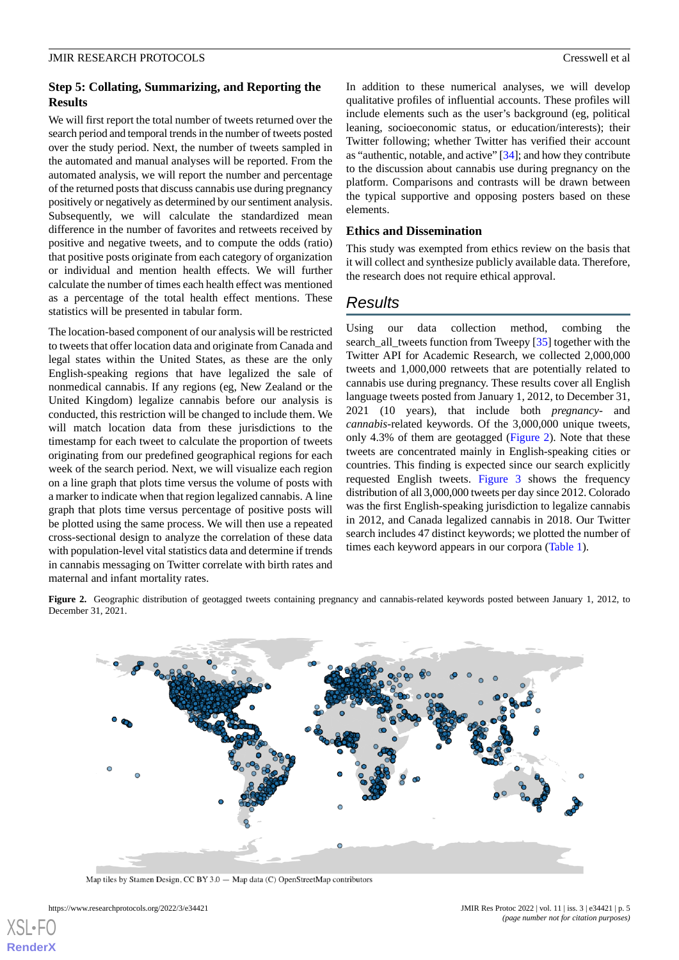# **Step 5: Collating, Summarizing, and Reporting the Results**

We will first report the total number of tweets returned over the search period and temporal trends in the number of tweets posted over the study period. Next, the number of tweets sampled in the automated and manual analyses will be reported. From the automated analysis, we will report the number and percentage of the returned posts that discuss cannabis use during pregnancy positively or negatively as determined by our sentiment analysis. Subsequently, we will calculate the standardized mean difference in the number of favorites and retweets received by positive and negative tweets, and to compute the odds (ratio) that positive posts originate from each category of organization or individual and mention health effects. We will further calculate the number of times each health effect was mentioned as a percentage of the total health effect mentions. These statistics will be presented in tabular form.

The location-based component of our analysis will be restricted to tweets that offer location data and originate from Canada and legal states within the United States, as these are the only English-speaking regions that have legalized the sale of nonmedical cannabis. If any regions (eg, New Zealand or the United Kingdom) legalize cannabis before our analysis is conducted, this restriction will be changed to include them. We will match location data from these jurisdictions to the timestamp for each tweet to calculate the proportion of tweets originating from our predefined geographical regions for each week of the search period. Next, we will visualize each region on a line graph that plots time versus the volume of posts with a marker to indicate when that region legalized cannabis. A line graph that plots time versus percentage of positive posts will be plotted using the same process. We will then use a repeated cross-sectional design to analyze the correlation of these data with population-level vital statistics data and determine if trends in cannabis messaging on Twitter correlate with birth rates and maternal and infant mortality rates.

In addition to these numerical analyses, we will develop qualitative profiles of influential accounts. These profiles will include elements such as the user's background (eg, political leaning, socioeconomic status, or education/interests); their Twitter following; whether Twitter has verified their account as "authentic, notable, and active" [\[34](#page-8-20)]; and how they contribute to the discussion about cannabis use during pregnancy on the platform. Comparisons and contrasts will be drawn between the typical supportive and opposing posters based on these elements.

## **Ethics and Dissemination**

This study was exempted from ethics review on the basis that it will collect and synthesize publicly available data. Therefore, the research does not require ethical approval.

# *Results*

Using our data collection method, combing the search all tweets function from Tweepy [\[35](#page-8-21)] together with the Twitter API for Academic Research, we collected 2,000,000 tweets and 1,000,000 retweets that are potentially related to cannabis use during pregnancy. These results cover all English language tweets posted from January 1, 2012, to December 31, 2021 (10 years), that include both *pregnancy*- and *cannabis*-related keywords. Of the 3,000,000 unique tweets, only 4.3% of them are geotagged [\(Figure 2\)](#page-4-0). Note that these tweets are concentrated mainly in English-speaking cities or countries. This finding is expected since our search explicitly requested English tweets. [Figure 3](#page-5-0) shows the frequency distribution of all 3,000,000 tweets per day since 2012. Colorado was the first English-speaking jurisdiction to legalize cannabis in 2012, and Canada legalized cannabis in 2018. Our Twitter search includes 47 distinct keywords; we plotted the number of times each keyword appears in our corpora [\(Table 1\)](#page-5-1).

<span id="page-4-0"></span>**Figure 2.** Geographic distribution of geotagged tweets containing pregnancy and cannabis-related keywords posted between January 1, 2012, to December 31, 2021.



Map tiles by Stamen Design, CC BY 3.0 - Map data (C) OpenStreetMap contributors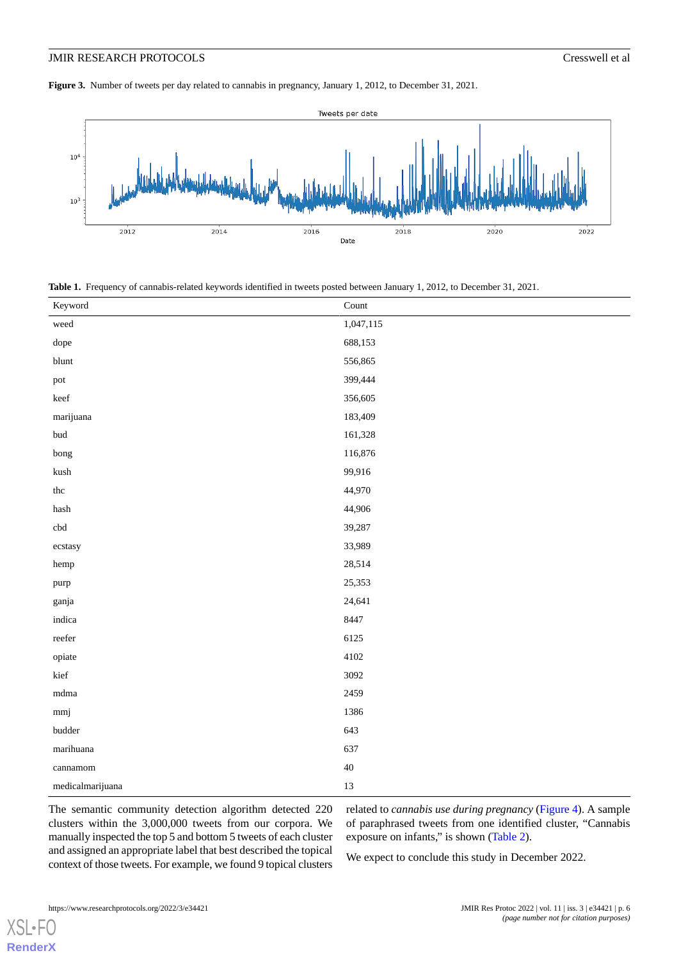<span id="page-5-0"></span>**Figure 3.** Number of tweets per day related to cannabis in pregnancy, January 1, 2012, to December 31, 2021.



<span id="page-5-1"></span>**Table 1.** Frequency of cannabis-related keywords identified in tweets posted between January 1, 2012, to December 31, 2021.

| Keyword                     | $\operatorname{Count}$ |
|-----------------------------|------------------------|
| weed                        | 1,047,115              |
| dope                        | 688,153                |
| blunt                       | 556,865                |
| pot                         | 399,444                |
| $\ensuremath{\text{keef}}$  | 356,605                |
| $\operatorname{mariju}$ ana | 183,409                |
| $\ensuremath{\text{bud}}$   | 161,328                |
| bong                        | 116,876                |
| ${\rm kush}$                | 99,916                 |
| $_{\rm thc}$                | 44,970                 |
| $_{\rm{hash}}$              | 44,906                 |
| $\operatorname{cbd}$        | 39,287                 |
| ecstasy                     | 33,989                 |
| hemp                        | 28,514                 |
| purp                        | 25,353                 |
| ganja                       | 24,641                 |
| indica                      | 8447                   |
| $\operatorname{reefer}$     | 6125                   |
| opiate                      | 4102                   |
| kief                        | 3092                   |
| $\rm{mdma}$                 | 2459                   |
| mmj                         | 1386                   |
| $\emph{budget}$             | 643                    |
| marihuana                   | 637                    |
| cannamom                    | $40\,$                 |
| medicalmarijuana            | 13                     |

The semantic community detection algorithm detected 220 clusters within the 3,000,000 tweets from our corpora. We manually inspected the top 5 and bottom 5 tweets of each cluster and assigned an appropriate label that best described the topical context of those tweets. For example, we found 9 topical clusters

related to *cannabis use during pregnancy* [\(Figure 4\)](#page-6-0). A sample of paraphrased tweets from one identified cluster, "Cannabis exposure on infants," is shown [\(Table 2\)](#page-6-1).

We expect to conclude this study in December 2022.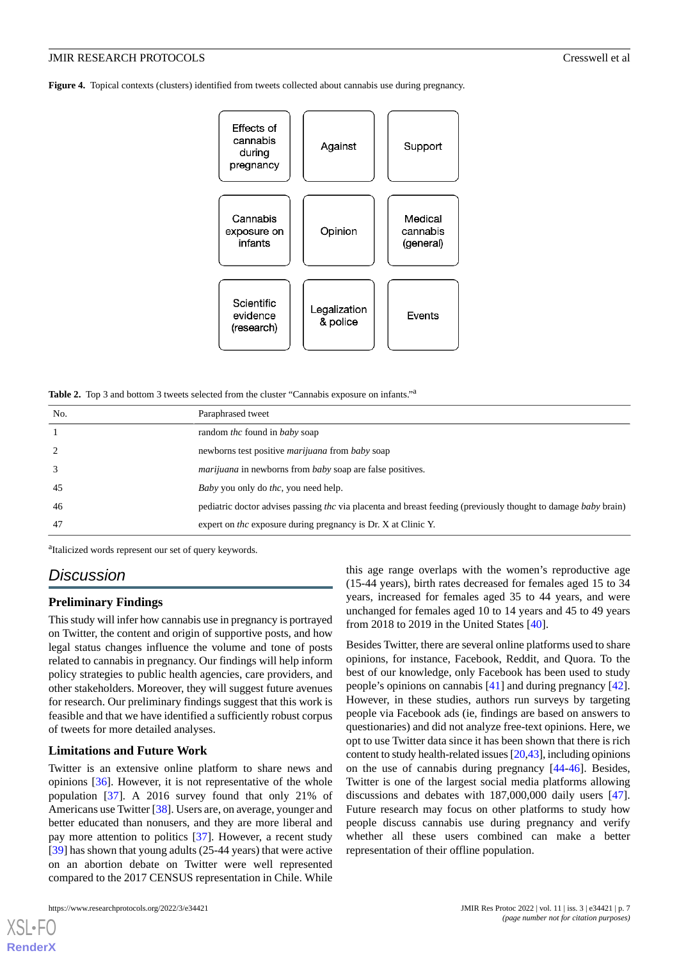<span id="page-6-0"></span>**Figure 4.** Topical contexts (clusters) identified from tweets collected about cannabis use during pregnancy.



<span id="page-6-1"></span>Table 2. Top 3 and bottom 3 tweets selected from the cluster "Cannabis exposure on infants."<sup>2</sup>

| No.            | Paraphrased tweet                                                                                              |
|----------------|----------------------------------------------------------------------------------------------------------------|
|                | random <i>thc</i> found in <i>baby</i> soap                                                                    |
| $\overline{2}$ | newborns test positive <i>marijuana</i> from <i>baby</i> soap                                                  |
| 3              | <i>marijuana</i> in newborns from <i>baby</i> soap are false positives.                                        |
| 45             | <i>Baby</i> you only do <i>thc</i> , you need help.                                                            |
| 46             | pediatric doctor advises passing the via placenta and breast feeding (previously thought to damage baby brain) |
| 47             | expert on <i>thc</i> exposure during pregnancy is Dr. X at Clinic Y.                                           |

<sup>a</sup>Italicized words represent our set of query keywords.

# *Discussion*

#### **Preliminary Findings**

This study will infer how cannabis use in pregnancy is portrayed on Twitter, the content and origin of supportive posts, and how legal status changes influence the volume and tone of posts related to cannabis in pregnancy. Our findings will help inform policy strategies to public health agencies, care providers, and other stakeholders. Moreover, they will suggest future avenues for research. Our preliminary findings suggest that this work is feasible and that we have identified a sufficiently robust corpus of tweets for more detailed analyses.

# **Limitations and Future Work**

Twitter is an extensive online platform to share news and opinions [[36\]](#page-8-22). However, it is not representative of the whole population [\[37](#page-8-23)]. A 2016 survey found that only 21% of Americans use Twitter [[38\]](#page-8-24). Users are, on average, younger and better educated than nonusers, and they are more liberal and pay more attention to politics [\[37](#page-8-23)]. However, a recent study [[39\]](#page-9-0) has shown that young adults (25-44 years) that were active on an abortion debate on Twitter were well represented compared to the 2017 CENSUS representation in Chile. While

this age range overlaps with the women's reproductive age (15-44 years), birth rates decreased for females aged 15 to 34 years, increased for females aged 35 to 44 years, and were unchanged for females aged 10 to 14 years and 45 to 49 years from 2018 to 2019 in the United States [\[40](#page-9-1)].

Besides Twitter, there are several online platforms used to share opinions, for instance, Facebook, Reddit, and Quora. To the best of our knowledge, only Facebook has been used to study people's opinions on cannabis [\[41](#page-9-2)] and during pregnancy [[42\]](#page-9-3). However, in these studies, authors run surveys by targeting people via Facebook ads (ie, findings are based on answers to questionaries) and did not analyze free-text opinions. Here, we opt to use Twitter data since it has been shown that there is rich content to study health-related issues [[20](#page-8-6)[,43\]](#page-9-4), including opinions on the use of cannabis during pregnancy [\[44](#page-9-5)-[46\]](#page-9-6). Besides, Twitter is one of the largest social media platforms allowing discussions and debates with 187,000,000 daily users [[47\]](#page-9-7). Future research may focus on other platforms to study how people discuss cannabis use during pregnancy and verify whether all these users combined can make a better representation of their offline population.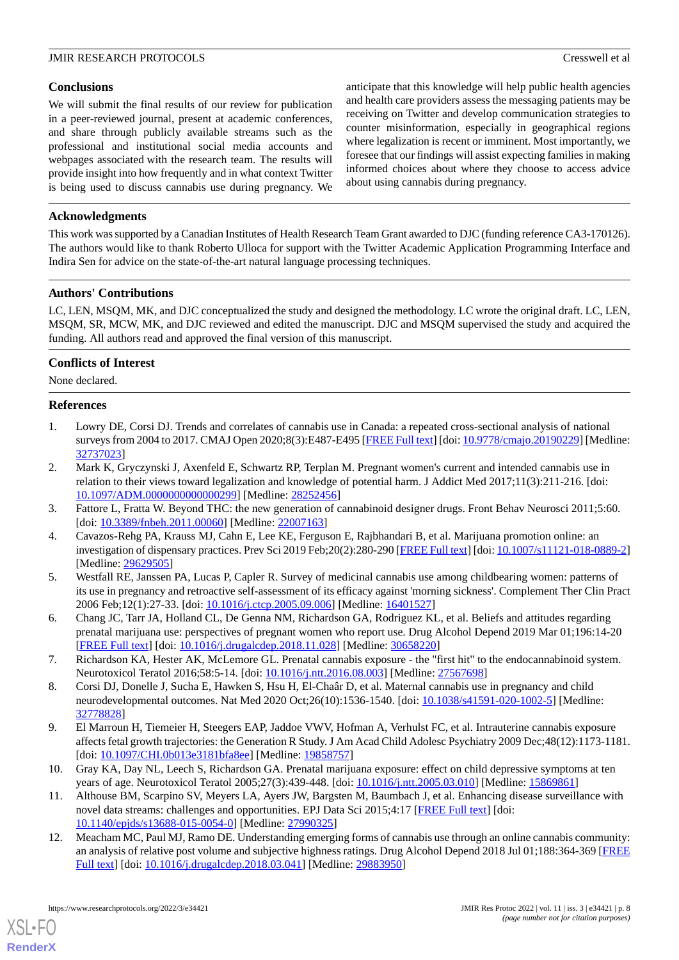# **Conclusions**

We will submit the final results of our review for publication in a peer-reviewed journal, present at academic conferences, and share through publicly available streams such as the professional and institutional social media accounts and webpages associated with the research team. The results will provide insight into how frequently and in what context Twitter is being used to discuss cannabis use during pregnancy. We

anticipate that this knowledge will help public health agencies and health care providers assess the messaging patients may be receiving on Twitter and develop communication strategies to counter misinformation, especially in geographical regions where legalization is recent or imminent. Most importantly, we foresee that our findings will assist expecting families in making informed choices about where they choose to access advice about using cannabis during pregnancy.

# **Acknowledgments**

This work was supported by a Canadian Institutes of Health Research Team Grant awarded to DJC (funding reference CA3-170126). The authors would like to thank Roberto Ulloca for support with the Twitter Academic Application Programming Interface and Indira Sen for advice on the state-of-the-art natural language processing techniques.

# **Authors' Contributions**

LC, LEN, MSQM, MK, and DJC conceptualized the study and designed the methodology. LC wrote the original draft. LC, LEN, MSQM, SR, MCW, MK, and DJC reviewed and edited the manuscript. DJC and MSQM supervised the study and acquired the funding. All authors read and approved the final version of this manuscript.

# **Conflicts of Interest**

<span id="page-7-0"></span>None declared.

# **References**

- <span id="page-7-1"></span>1. Lowry DE, Corsi DJ. Trends and correlates of cannabis use in Canada: a repeated cross-sectional analysis of national surveys from 2004 to 2017. CMAJ Open 2020;8(3):E487-E495 [[FREE Full text\]](http://cmajopen.ca/cgi/pmidlookup?view=long&pmid=32737023) [doi: [10.9778/cmajo.20190229](http://dx.doi.org/10.9778/cmajo.20190229)] [Medline: [32737023](http://www.ncbi.nlm.nih.gov/entrez/query.fcgi?cmd=Retrieve&db=PubMed&list_uids=32737023&dopt=Abstract)]
- <span id="page-7-3"></span><span id="page-7-2"></span>2. Mark K, Gryczynski J, Axenfeld E, Schwartz RP, Terplan M. Pregnant women's current and intended cannabis use in relation to their views toward legalization and knowledge of potential harm. J Addict Med 2017;11(3):211-216. [doi: [10.1097/ADM.0000000000000299\]](http://dx.doi.org/10.1097/ADM.0000000000000299) [Medline: [28252456](http://www.ncbi.nlm.nih.gov/entrez/query.fcgi?cmd=Retrieve&db=PubMed&list_uids=28252456&dopt=Abstract)]
- <span id="page-7-4"></span>3. Fattore L, Fratta W. Beyond THC: the new generation of cannabinoid designer drugs. Front Behav Neurosci 2011;5:60. [doi: [10.3389/fnbeh.2011.00060\]](http://dx.doi.org/10.3389/fnbeh.2011.00060) [Medline: [22007163\]](http://www.ncbi.nlm.nih.gov/entrez/query.fcgi?cmd=Retrieve&db=PubMed&list_uids=22007163&dopt=Abstract)
- <span id="page-7-5"></span>4. Cavazos-Rehg PA, Krauss MJ, Cahn E, Lee KE, Ferguson E, Rajbhandari B, et al. Marijuana promotion online: an investigation of dispensary practices. Prev Sci 2019 Feb;20(2):280-290 [[FREE Full text\]](http://europepmc.org/abstract/MED/29629505) [doi: [10.1007/s11121-018-0889-2\]](http://dx.doi.org/10.1007/s11121-018-0889-2) [Medline: [29629505](http://www.ncbi.nlm.nih.gov/entrez/query.fcgi?cmd=Retrieve&db=PubMed&list_uids=29629505&dopt=Abstract)]
- <span id="page-7-6"></span>5. Westfall RE, Janssen PA, Lucas P, Capler R. Survey of medicinal cannabis use among childbearing women: patterns of its use in pregnancy and retroactive self-assessment of its efficacy against 'morning sickness'. Complement Ther Clin Pract 2006 Feb;12(1):27-33. [doi: [10.1016/j.ctcp.2005.09.006\]](http://dx.doi.org/10.1016/j.ctcp.2005.09.006) [Medline: [16401527](http://www.ncbi.nlm.nih.gov/entrez/query.fcgi?cmd=Retrieve&db=PubMed&list_uids=16401527&dopt=Abstract)]
- <span id="page-7-7"></span>6. Chang JC, Tarr JA, Holland CL, De Genna NM, Richardson GA, Rodriguez KL, et al. Beliefs and attitudes regarding prenatal marijuana use: perspectives of pregnant women who report use. Drug Alcohol Depend 2019 Mar 01;196:14-20 [[FREE Full text](http://europepmc.org/abstract/MED/30658220)] [doi: [10.1016/j.drugalcdep.2018.11.028\]](http://dx.doi.org/10.1016/j.drugalcdep.2018.11.028) [Medline: [30658220\]](http://www.ncbi.nlm.nih.gov/entrez/query.fcgi?cmd=Retrieve&db=PubMed&list_uids=30658220&dopt=Abstract)
- 7. Richardson KA, Hester AK, McLemore GL. Prenatal cannabis exposure the "first hit" to the endocannabinoid system. Neurotoxicol Teratol 2016;58:5-14. [doi: [10.1016/j.ntt.2016.08.003](http://dx.doi.org/10.1016/j.ntt.2016.08.003)] [Medline: [27567698](http://www.ncbi.nlm.nih.gov/entrez/query.fcgi?cmd=Retrieve&db=PubMed&list_uids=27567698&dopt=Abstract)]
- <span id="page-7-8"></span>8. Corsi DJ, Donelle J, Sucha E, Hawken S, Hsu H, El-Chaâr D, et al. Maternal cannabis use in pregnancy and child neurodevelopmental outcomes. Nat Med 2020 Oct;26(10):1536-1540. [doi: [10.1038/s41591-020-1002-5](http://dx.doi.org/10.1038/s41591-020-1002-5)] [Medline: [32778828](http://www.ncbi.nlm.nih.gov/entrez/query.fcgi?cmd=Retrieve&db=PubMed&list_uids=32778828&dopt=Abstract)]
- <span id="page-7-9"></span>9. El Marroun H, Tiemeier H, Steegers EAP, Jaddoe VWV, Hofman A, Verhulst FC, et al. Intrauterine cannabis exposure affects fetal growth trajectories: the Generation R Study. J Am Acad Child Adolesc Psychiatry 2009 Dec;48(12):1173-1181. [doi: [10.1097/CHI.0b013e3181bfa8ee\]](http://dx.doi.org/10.1097/CHI.0b013e3181bfa8ee) [Medline: [19858757\]](http://www.ncbi.nlm.nih.gov/entrez/query.fcgi?cmd=Retrieve&db=PubMed&list_uids=19858757&dopt=Abstract)
- <span id="page-7-10"></span>10. Gray KA, Day NL, Leech S, Richardson GA. Prenatal marijuana exposure: effect on child depressive symptoms at ten years of age. Neurotoxicol Teratol 2005;27(3):439-448. [doi: [10.1016/j.ntt.2005.03.010](http://dx.doi.org/10.1016/j.ntt.2005.03.010)] [Medline: [15869861](http://www.ncbi.nlm.nih.gov/entrez/query.fcgi?cmd=Retrieve&db=PubMed&list_uids=15869861&dopt=Abstract)]
- 11. Althouse BM, Scarpino SV, Meyers LA, Ayers JW, Bargsten M, Baumbach J, et al. Enhancing disease surveillance with novel data streams: challenges and opportunities. EPJ Data Sci 2015;4:17 [\[FREE Full text\]](http://europepmc.org/abstract/MED/27990325) [doi: [10.1140/epjds/s13688-015-0054-0\]](http://dx.doi.org/10.1140/epjds/s13688-015-0054-0) [Medline: [27990325](http://www.ncbi.nlm.nih.gov/entrez/query.fcgi?cmd=Retrieve&db=PubMed&list_uids=27990325&dopt=Abstract)]
- 12. Meacham MC, Paul MJ, Ramo DE. Understanding emerging forms of cannabis use through an online cannabis community: an analysis of relative post volume and subjective highness ratings. Drug Alcohol Depend 2018 Jul 01;188:364-369 [\[FREE](http://europepmc.org/abstract/MED/29883950) [Full text\]](http://europepmc.org/abstract/MED/29883950) [doi: [10.1016/j.drugalcdep.2018.03.041\]](http://dx.doi.org/10.1016/j.drugalcdep.2018.03.041) [Medline: [29883950](http://www.ncbi.nlm.nih.gov/entrez/query.fcgi?cmd=Retrieve&db=PubMed&list_uids=29883950&dopt=Abstract)]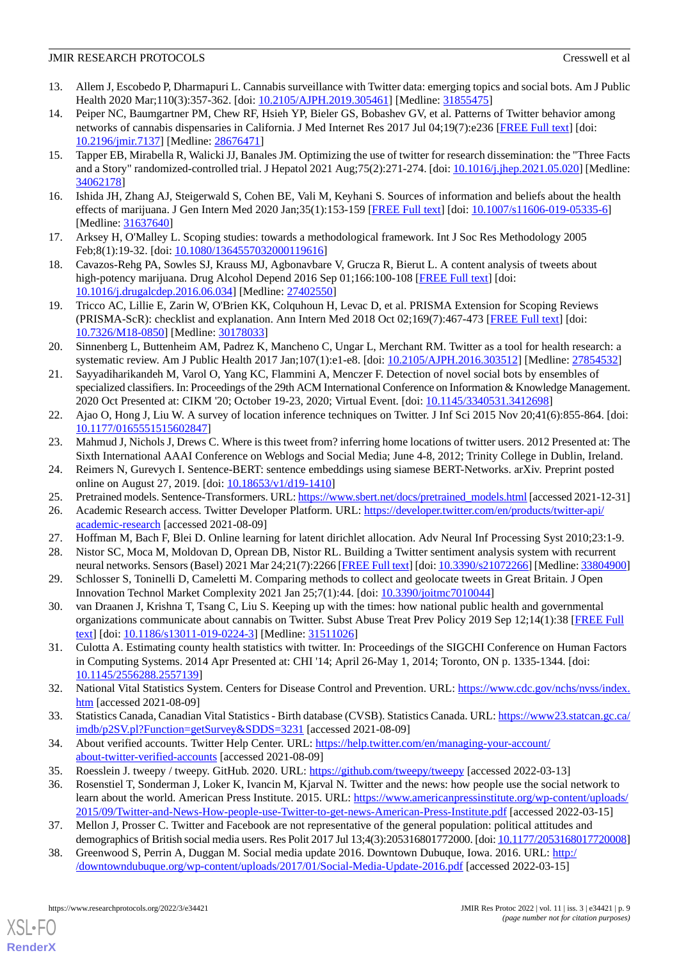- <span id="page-8-0"></span>13. Allem J, Escobedo P, Dharmapuri L. Cannabis surveillance with Twitter data: emerging topics and social bots. Am J Public Health 2020 Mar;110(3):357-362. [doi: [10.2105/AJPH.2019.305461\]](http://dx.doi.org/10.2105/AJPH.2019.305461) [Medline: [31855475\]](http://www.ncbi.nlm.nih.gov/entrez/query.fcgi?cmd=Retrieve&db=PubMed&list_uids=31855475&dopt=Abstract)
- 14. Peiper NC, Baumgartner PM, Chew RF, Hsieh YP, Bieler GS, Bobashev GV, et al. Patterns of Twitter behavior among networks of cannabis dispensaries in California. J Med Internet Res 2017 Jul 04;19(7):e236 [[FREE Full text](https://www.jmir.org/2017/7/e236/)] [doi: [10.2196/jmir.7137](http://dx.doi.org/10.2196/jmir.7137)] [Medline: [28676471](http://www.ncbi.nlm.nih.gov/entrez/query.fcgi?cmd=Retrieve&db=PubMed&list_uids=28676471&dopt=Abstract)]
- <span id="page-8-1"></span>15. Tapper EB, Mirabella R, Walicki JJ, Banales JM. Optimizing the use of twitter for research dissemination: the "Three Facts and a Story" randomized-controlled trial. J Hepatol 2021 Aug;75(2):271-274. [doi: [10.1016/j.jhep.2021.05.020\]](http://dx.doi.org/10.1016/j.jhep.2021.05.020) [Medline: [34062178](http://www.ncbi.nlm.nih.gov/entrez/query.fcgi?cmd=Retrieve&db=PubMed&list_uids=34062178&dopt=Abstract)]
- <span id="page-8-3"></span><span id="page-8-2"></span>16. Ishida JH, Zhang AJ, Steigerwald S, Cohen BE, Vali M, Keyhani S. Sources of information and beliefs about the health effects of marijuana. J Gen Intern Med 2020 Jan;35(1):153-159 [\[FREE Full text\]](http://europepmc.org/abstract/MED/31637640) [doi: [10.1007/s11606-019-05335-6](http://dx.doi.org/10.1007/s11606-019-05335-6)] [Medline: [31637640](http://www.ncbi.nlm.nih.gov/entrez/query.fcgi?cmd=Retrieve&db=PubMed&list_uids=31637640&dopt=Abstract)]
- <span id="page-8-4"></span>17. Arksey H, O'Malley L. Scoping studies: towards a methodological framework. Int J Soc Res Methodology 2005 Feb;8(1):19-32. [doi: [10.1080/1364557032000119616\]](http://dx.doi.org/10.1080/1364557032000119616)
- <span id="page-8-5"></span>18. Cavazos-Rehg PA, Sowles SJ, Krauss MJ, Agbonavbare V, Grucza R, Bierut L. A content analysis of tweets about high-potency marijuana. Drug Alcohol Depend 2016 Sep 01;166:100-108 [[FREE Full text](http://europepmc.org/abstract/MED/27402550)] [doi: [10.1016/j.drugalcdep.2016.06.034\]](http://dx.doi.org/10.1016/j.drugalcdep.2016.06.034) [Medline: [27402550\]](http://www.ncbi.nlm.nih.gov/entrez/query.fcgi?cmd=Retrieve&db=PubMed&list_uids=27402550&dopt=Abstract)
- <span id="page-8-6"></span>19. Tricco AC, Lillie E, Zarin W, O'Brien KK, Colquhoun H, Levac D, et al. PRISMA Extension for Scoping Reviews (PRISMA-ScR): checklist and explanation. Ann Intern Med 2018 Oct 02;169(7):467-473 [[FREE Full text](https://www.acpjournals.org/doi/abs/10.7326/M18-0850?url_ver=Z39.88-2003&rfr_id=ori:rid:crossref.org&rfr_dat=cr_pub%3dpubmed)] [doi: [10.7326/M18-0850](http://dx.doi.org/10.7326/M18-0850)] [Medline: [30178033\]](http://www.ncbi.nlm.nih.gov/entrez/query.fcgi?cmd=Retrieve&db=PubMed&list_uids=30178033&dopt=Abstract)
- <span id="page-8-7"></span>20. Sinnenberg L, Buttenheim AM, Padrez K, Mancheno C, Ungar L, Merchant RM. Twitter as a tool for health research: a systematic review. Am J Public Health 2017 Jan;107(1):e1-e8. [doi: [10.2105/AJPH.2016.303512](http://dx.doi.org/10.2105/AJPH.2016.303512)] [Medline: [27854532](http://www.ncbi.nlm.nih.gov/entrez/query.fcgi?cmd=Retrieve&db=PubMed&list_uids=27854532&dopt=Abstract)]
- <span id="page-8-8"></span>21. Sayyadiharikandeh M, Varol O, Yang KC, Flammini A, Menczer F. Detection of novel social bots by ensembles of specialized classifiers. In: Proceedings of the 29th ACM International Conference on Information & Knowledge Management. 2020 Oct Presented at: CIKM '20; October 19-23, 2020; Virtual Event. [doi: [10.1145/3340531.3412698](http://dx.doi.org/10.1145/3340531.3412698)]
- <span id="page-8-10"></span><span id="page-8-9"></span>22. Ajao O, Hong J, Liu W. A survey of location inference techniques on Twitter. J Inf Sci 2015 Nov 20;41(6):855-864. [doi: [10.1177/0165551515602847\]](http://dx.doi.org/10.1177/0165551515602847)
- <span id="page-8-11"></span>23. Mahmud J, Nichols J, Drews C. Where is this tweet from? inferring home locations of twitter users. 2012 Presented at: The Sixth International AAAI Conference on Weblogs and Social Media; June 4-8, 2012; Trinity College in Dublin, Ireland.
- <span id="page-8-12"></span>24. Reimers N, Gurevych I. Sentence-BERT: sentence embeddings using siamese BERT-Networks. arXiv. Preprint posted online on August 27, 2019. [doi: [10.18653/v1/d19-1410\]](http://dx.doi.org/10.18653/v1/d19-1410)
- <span id="page-8-14"></span><span id="page-8-13"></span>25. Pretrained models. Sentence-Transformers. URL: [https://www.sbert.net/docs/pretrained\\_models.html](https://www.sbert.net/docs/pretrained_models.html) [accessed 2021-12-31]
- <span id="page-8-15"></span>26. Academic Research access. Twitter Developer Platform. URL: [https://developer.twitter.com/en/products/twitter-api/](https://developer.twitter.com/en/products/twitter-api/academic-research) [academic-research](https://developer.twitter.com/en/products/twitter-api/academic-research) [accessed 2021-08-09]
- 27. Hoffman M, Bach F, Blei D. Online learning for latent dirichlet allocation. Adv Neural Inf Processing Syst 2010;23:1-9.
- <span id="page-8-16"></span>28. Nistor SC, Moca M, Moldovan D, Oprean DB, Nistor RL. Building a Twitter sentiment analysis system with recurrent neural networks. Sensors (Basel) 2021 Mar 24;21(7):2266 [[FREE Full text\]](https://www.mdpi.com/resolver?pii=s21072266) [doi: [10.3390/s21072266](http://dx.doi.org/10.3390/s21072266)] [Medline: [33804900\]](http://www.ncbi.nlm.nih.gov/entrez/query.fcgi?cmd=Retrieve&db=PubMed&list_uids=33804900&dopt=Abstract)
- <span id="page-8-17"></span>29. Schlosser S, Toninelli D, Cameletti M. Comparing methods to collect and geolocate tweets in Great Britain. J Open Innovation Technol Market Complexity 2021 Jan 25;7(1):44. [doi: [10.3390/joitmc7010044](http://dx.doi.org/10.3390/joitmc7010044)]
- <span id="page-8-18"></span>30. van Draanen J, Krishna T, Tsang C, Liu S. Keeping up with the times: how national public health and governmental organizations communicate about cannabis on Twitter. Subst Abuse Treat Prev Policy 2019 Sep 12;14(1):38 [\[FREE Full](https://substanceabusepolicy.biomedcentral.com/articles/10.1186/s13011-019-0224-3) [text](https://substanceabusepolicy.biomedcentral.com/articles/10.1186/s13011-019-0224-3)] [doi: [10.1186/s13011-019-0224-3\]](http://dx.doi.org/10.1186/s13011-019-0224-3) [Medline: [31511026](http://www.ncbi.nlm.nih.gov/entrez/query.fcgi?cmd=Retrieve&db=PubMed&list_uids=31511026&dopt=Abstract)]
- <span id="page-8-19"></span>31. Culotta A. Estimating county health statistics with twitter. In: Proceedings of the SIGCHI Conference on Human Factors in Computing Systems. 2014 Apr Presented at: CHI '14; April 26-May 1, 2014; Toronto, ON p. 1335-1344. [doi: [10.1145/2556288.2557139](http://dx.doi.org/10.1145/2556288.2557139)]
- <span id="page-8-21"></span><span id="page-8-20"></span>32. National Vital Statistics System. Centers for Disease Control and Prevention. URL: [https://www.cdc.gov/nchs/nvss/index.](https://www.cdc.gov/nchs/nvss/index.htm) [htm](https://www.cdc.gov/nchs/nvss/index.htm) [accessed 2021-08-09]
- <span id="page-8-22"></span>33. Statistics Canada, Canadian Vital Statistics - Birth database (CVSB). Statistics Canada. URL: [https://www23.statcan.gc.ca/](https://www23.statcan.gc.ca/imdb/p2SV.pl?Function=getSurvey&SDDS=3231) [imdb/p2SV.pl?Function=getSurvey&SDDS=3231](https://www23.statcan.gc.ca/imdb/p2SV.pl?Function=getSurvey&SDDS=3231) [accessed 2021-08-09]
- <span id="page-8-23"></span>34. About verified accounts. Twitter Help Center. URL: [https://help.twitter.com/en/managing-your-account/](https://help.twitter.com/en/managing-your-account/about-twitter-verified-accounts) [about-twitter-verified-accounts](https://help.twitter.com/en/managing-your-account/about-twitter-verified-accounts) [accessed 2021-08-09]
- <span id="page-8-24"></span>35. Roesslein J. tweepy / tweepy. GitHub. 2020. URL:<https://github.com/tweepy/tweepy> [accessed 2022-03-13]
- 36. Rosenstiel T, Sonderman J, Loker K, Ivancin M, Kjarval N. Twitter and the news: how people use the social network to learn about the world. American Press Institute. 2015. URL: [https://www.americanpressinstitute.org/wp-content/uploads/](https://www.americanpressinstitute.org/wp-content/uploads/2015/09/Twitter-and-News-How-people-use-Twitter-to-get-news-American-Press-Institute.pdf) [2015/09/Twitter-and-News-How-people-use-Twitter-to-get-news-American-Press-Institute.pdf](https://www.americanpressinstitute.org/wp-content/uploads/2015/09/Twitter-and-News-How-people-use-Twitter-to-get-news-American-Press-Institute.pdf) [accessed 2022-03-15]
- 37. Mellon J, Prosser C. Twitter and Facebook are not representative of the general population: political attitudes and demographics of British social media users. Res Polit 2017 Jul 13;4(3):205316801772000. [doi: [10.1177/2053168017720008\]](http://dx.doi.org/10.1177/2053168017720008)
- 38. Greenwood S, Perrin A, Duggan M. Social media update 2016. Downtown Dubuque, Iowa. 2016. URL: [http:/](http://downtowndubuque.org/wp-content/uploads/2017/01/Social-Media-Update-2016.pdf) [/downtowndubuque.org/wp-content/uploads/2017/01/Social-Media-Update-2016.pdf](http://downtowndubuque.org/wp-content/uploads/2017/01/Social-Media-Update-2016.pdf) [accessed 2022-03-15]